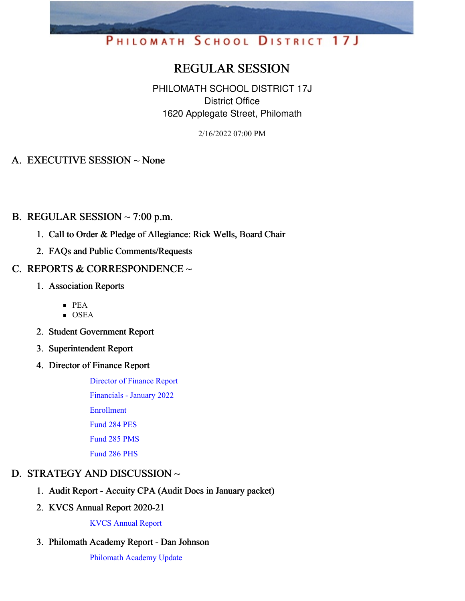# PHILOMATH SCHOOL DISTRICT 17J

# REGULAR SESSION

PHILOMATH SCHOOL DISTRICT 17J District Office 1620 Applegate Street, Philomath

2/16/2022 07:00 PM

### A. EXECUTIVE SESSION ~ None

#### B. REGULAR SESSION  $\sim$  7:00 p.m.

- 1. Call to Order & Pledge of Allegiance: Rick Wells, Board Chair
- 2. FAQs and Public Comments/Requests

#### C. REPORTS & CORRESPONDENCE  $\sim$

- 1. Association Reports
	- PEA
	- $\blacksquare$  OSEA
- 2. Student Government Report
- 3. Superintendent Report
- 4. Director of Finance Report

[Director](https://app.eduportal.com/documents/view/822983) of Finance Report

[Financials](https://app.eduportal.com/documents/view/822989) - January 2022

[Enrollment](https://app.eduportal.com/documents/view/822938)

[Fund](https://app.eduportal.com/documents/view/822987) 284 PES

[Fund](https://app.eduportal.com/documents/view/822984) 285 PMS

[Fund](https://app.eduportal.com/documents/view/822985) 286 PHS

# D. STRATEGY AND DISCUSSION ~

- 1. Audit Report Accuity CPA (Audit Docs in January packet)
- 2. KVCS Annual Report 2020-21

KVCS [Annual](https://app.eduportal.com/documents/view/823127) Report

3. Philomath Academy Report - Dan Johnson

[Philomath](https://app.eduportal.com/documents/view/822934) Academy Update